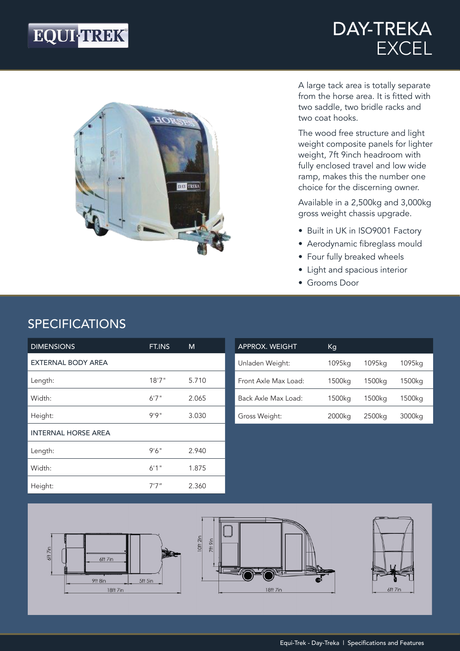## EQUI-TREK®

### DAY-TREKA EXCEL



A large tack area is totally separate from the horse area. It is fitted with two saddle, two bridle racks and two coat hooks.

The wood free structure and light weight composite panels for lighter weight, 7ft 9inch headroom with fully enclosed travel and low wide ramp, makes this the number one choice for the discerning owner.

Available in a 2,500kg and 3,000kg gross weight chassis upgrade.

- Built in UK in ISO9001 Factory
- Aerodynamic fibreglass mould
- Four fully breaked wheels
- Light and spacious interior
- Grooms Door

#### SPECIFICATIONS

| <b>DIMENSIONS</b>          | FT.INS | M     |
|----------------------------|--------|-------|
| <b>EXTERNAL BODY AREA</b>  |        |       |
| Length:                    | 18'7'' | 5.710 |
| Width:                     | 6'7''  | 2.065 |
| Height:                    | 9'9''  | 3.030 |
| <b>INTERNAL HORSE AREA</b> |        |       |
| Length:                    | 9'6''  | 2.940 |
| Width:                     | 6'1''  | 1.875 |
| Height:                    | 7'7''  | 2.360 |

| <b>APPROX. WEIGHT</b> | Кq     |        |        |
|-----------------------|--------|--------|--------|
| Unladen Weight:       | 1095ka | 1095ka | 1095ka |
| Front Axle Max Load:  | 1500kg | 1500kg | 1500kg |
| Back Axle Max Load:   | 1500kg | 1500kg | 1500kg |
| Gross Weight:         | 2000kg | 2500kg | 3000kg |